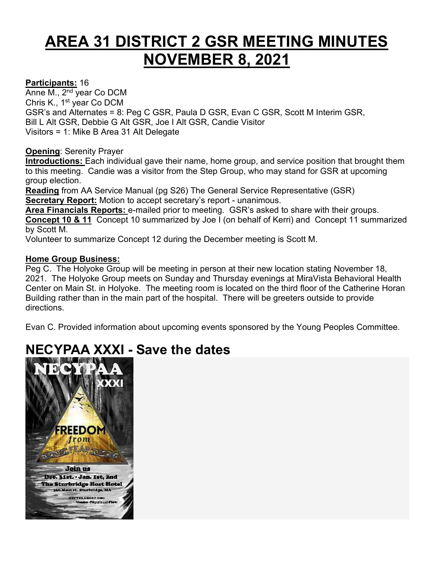# **AREA 31 DISTRICT 2 GSR MEETING MINUTES NOVEMBER 8, 2021**

### **Participants:** 16

Anne M., 2nd year Co DCM Chris K., 1st year Co DCM GSR's and Alternates = 8: Peg C GSR, Paula D GSR, Evan C GSR, Scott M Interim GSR, Bill L Alt GSR, Debbie G Alt GSR, Joe I Alt GSR, Candie Visitor Visitors = 1: Mike B Area 31 Alt Delegate

#### **Opening**: Serenity Prayer

**Introductions:** Each individual gave their name, home group, and service position that brought them to this meeting. Candie was a visitor from the Step Group, who may stand for GSR at upcoming group election.

**Reading** from AA Service Manual (pg S26) The General Service Representative (GSR) **Secretary Report:** Motion to accept secretary's report - unanimous.

**Area Financials Reports:** e-mailed prior to meeting. GSR's asked to share with their groups. **Concept 10 & 11** Concept 10 summarized by Joe I (on behalf of Kerri) and Concept 11 summarized by Scott M.

Volunteer to summarize Concept 12 during the December meeting is Scott M.

#### **Home Group Business:**

Peg C. The Holyoke Group will be meeting in person at their new location stating November 18, 2021. The Holyoke Group meets on Sunday and Thursday evenings at MiraVista Behavioral Health Center on Main St. in Holyoke. The meeting room is located on the third floor of the Catherine Horan Building rather than in the main part of the hospital. There will be greeters outside to provide directions.

Evan C. Provided information about upcoming events sponsored by the Young Peoples Committee.

# **[NECYPAA XXXI -](https://www.area31aa.org/files/necypaa/necypaa31flyer.pdf) Save the dates**

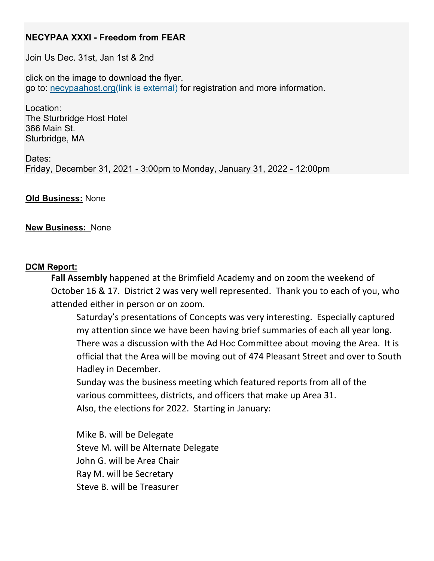# **NECYPAA XXXI - Freedom from FEAR**

Join Us Dec. 31st, Jan 1st & 2nd

click on the image to download the flyer. go to: [necypaahost.org\(link is external\)](https://necypaahost.org/) for registration and more information.

Location: The Sturbridge Host Hotel 366 Main St. Sturbridge, MA

Dates: Friday, December 31, 2021 - 3:00pm to Monday, January 31, 2022 - 12:00pm

#### **Old Business:** None

#### **New Business:** None

#### **DCM Report:**

**Fall Assembly** happened at the Brimfield Academy and on zoom the weekend of October 16 & 17. District 2 was very well represented. Thank you to each of you, who attended either in person or on zoom.

Saturday's presentations of Concepts was very interesting. Especially captured my attention since we have been having brief summaries of each all year long. There was a discussion with the Ad Hoc Committee about moving the Area. It is official that the Area will be moving out of 474 Pleasant Street and over to South Hadley in December.

Sunday was the business meeting which featured reports from all of the various committees, districts, and officers that make up Area 31. Also, the elections for 2022. Starting in January:

Mike B. will be Delegate Steve M. will be Alternate Delegate John G. will be Area Chair Ray M. will be Secretary Steve B. will be Treasurer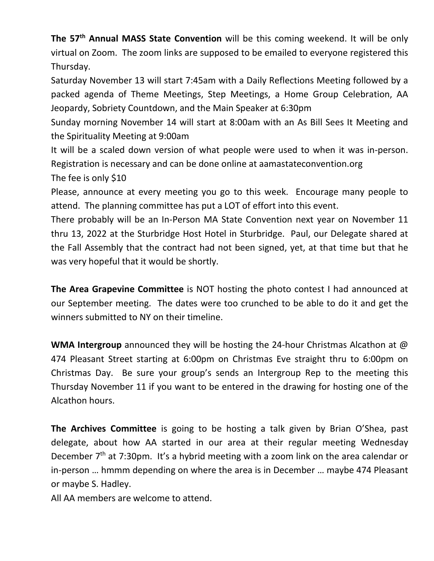**The 57th Annual MASS State Convention** will be this coming weekend. It will be only virtual on Zoom. The zoom links are supposed to be emailed to everyone registered this Thursday.

Saturday November 13 will start 7:45am with a Daily Reflections Meeting followed by a packed agenda of Theme Meetings, Step Meetings, a Home Group Celebration, AA Jeopardy, Sobriety Countdown, and the Main Speaker at 6:30pm

Sunday morning November 14 will start at 8:00am with an As Bill Sees It Meeting and the Spirituality Meeting at 9:00am

It will be a scaled down version of what people were used to when it was in-person. Registration is necessary and can be done online at aamastateconvention.org

The fee is only \$10

Please, announce at every meeting you go to this week. Encourage many people to attend. The planning committee has put a LOT of effort into this event.

There probably will be an In-Person MA State Convention next year on November 11 thru 13, 2022 at the Sturbridge Host Hotel in Sturbridge. Paul, our Delegate shared at the Fall Assembly that the contract had not been signed, yet, at that time but that he was very hopeful that it would be shortly.

**The Area Grapevine Committee** is NOT hosting the photo contest I had announced at our September meeting. The dates were too crunched to be able to do it and get the winners submitted to NY on their timeline.

**WMA Intergroup** announced they will be hosting the 24-hour Christmas Alcathon at @ 474 Pleasant Street starting at 6:00pm on Christmas Eve straight thru to 6:00pm on Christmas Day. Be sure your group's sends an Intergroup Rep to the meeting this Thursday November 11 if you want to be entered in the drawing for hosting one of the Alcathon hours.

**The Archives Committee** is going to be hosting a talk given by Brian O'Shea, past delegate, about how AA started in our area at their regular meeting Wednesday December 7<sup>th</sup> at 7:30pm. It's a hybrid meeting with a zoom link on the area calendar or in-person … hmmm depending on where the area is in December … maybe 474 Pleasant or maybe S. Hadley.

All AA members are welcome to attend.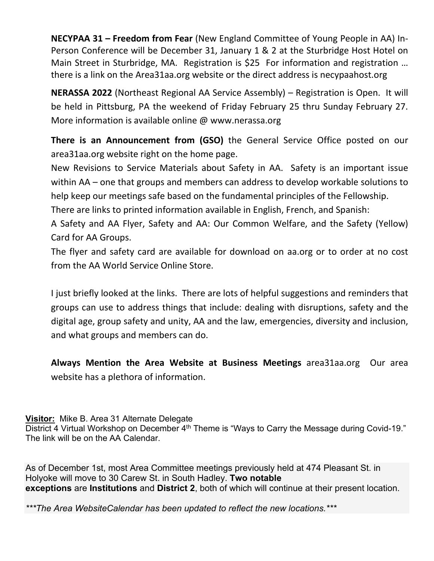**NECYPAA 31 – Freedom from Fear** (New England Committee of Young People in AA) In-Person Conference will be December 31, January 1 & 2 at the Sturbridge Host Hotel on Main Street in Sturbridge, MA. Registration is \$25 For information and registration … there is a link on the Area31aa.org website or the direct address is necypaahost.org

**NERASSA 2022** (Northeast Regional AA Service Assembly) – Registration is Open. It will be held in Pittsburg, PA the weekend of Friday February 25 thru Sunday February 27. More information is available online @ www.nerassa.org

**There is an Announcement from (GSO)** the General Service Office posted on our area31aa.org website right on the home page.

New Revisions to Service Materials about Safety in AA. Safety is an important issue within AA – one that groups and members can address to develop workable solutions to help keep our meetings safe based on the fundamental principles of the Fellowship.

There are links to printed information available in English, French, and Spanish:

A Safety and AA Flyer, Safety and AA: Our Common Welfare, and the Safety (Yellow) Card for AA Groups.

The flyer and safety card are available for download on aa.org or to order at no cost from the AA World Service Online Store.

I just briefly looked at the links. There are lots of helpful suggestions and reminders that groups can use to address things that include: dealing with disruptions, safety and the digital age, group safety and unity, AA and the law, emergencies, diversity and inclusion, and what groups and members can do.

**Always Mention the Area Website at Business Meetings** area31aa.org Our area website has a plethora of information.

# **Visitor:** Mike B. Area 31 Alternate Delegate

District 4 Virtual Workshop on December 4<sup>th</sup> Theme is "Ways to Carry the Message during Covid-19." The link will be on the AA Calendar.

As of December 1st, most Area Committee meetings previously held at 474 Pleasant St. in Holyoke will move to 30 Carew St. in South Hadley. **Two notable exceptions** are **Institutions** and **District 2**, both of which will continue at their present location.

*\*\*\*The Area WebsiteCalendar has been updated to reflect the new locations.\*\*\**